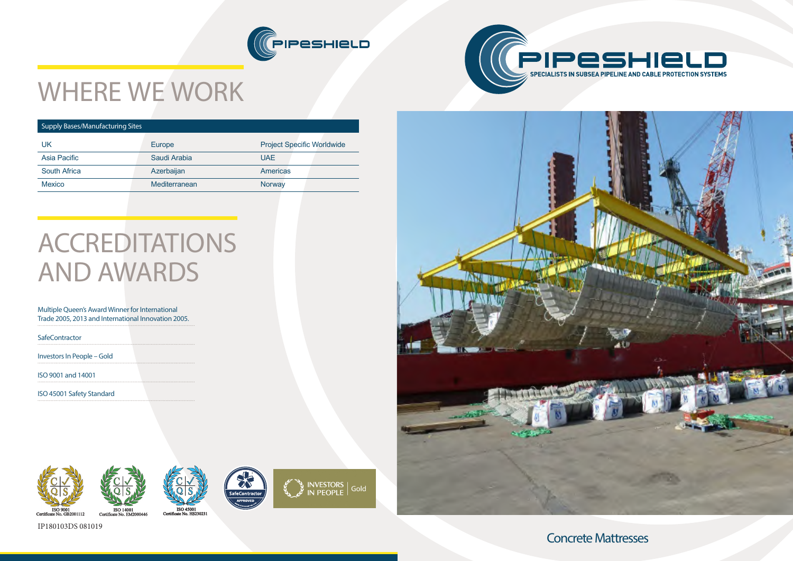Concrete Mattresses













# WHERE WE WORK

#### Supply Bases/Manufacturing Sites

| UK                  | Europe        | <b>Project Specific Worldwide</b> |
|---------------------|---------------|-----------------------------------|
| Asia Pacific        | Saudi Arabia  | <b>UAE</b>                        |
| <b>South Africa</b> | Azerbaijan    | <b>Americas</b>                   |
| <b>Mexico</b>       | Mediterranean | Norway                            |
|                     |               |                                   |

# ACCREDITATIONS AND AWARDS

#### Multiple Queen's Award Winner for International Trade 2005, 2013 and International Innovation 2005.

**SafeContractor** 

Investors In People – Gold

ISO 9001 and 14001

ISO 45001 Safety Standard





IP180103DS 081019